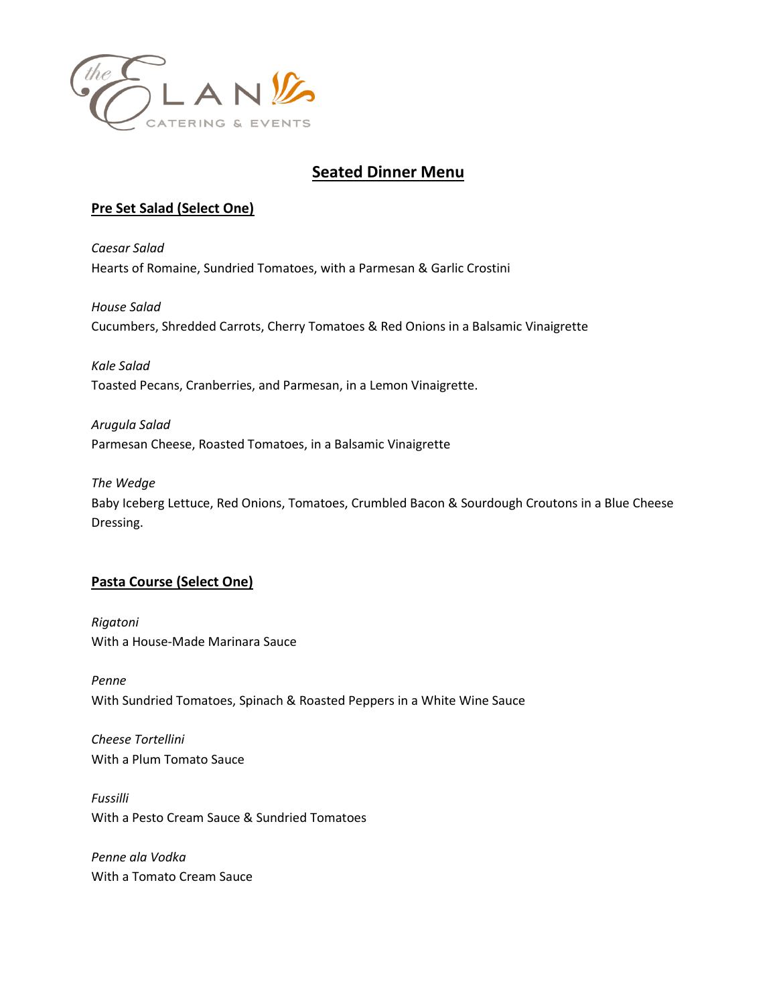

# **Seated Dinner Menu**

### **Pre Set Salad (Select One)**

*Caesar Salad* Hearts of Romaine, Sundried Tomatoes, with a Parmesan & Garlic Crostini

*House Salad* Cucumbers, Shredded Carrots, Cherry Tomatoes & Red Onions in a Balsamic Vinaigrette

*Kale Salad* Toasted Pecans, Cranberries, and Parmesan, in a Lemon Vinaigrette.

*Arugula Salad* Parmesan Cheese, Roasted Tomatoes, in a Balsamic Vinaigrette

*The Wedge*

Baby Iceberg Lettuce, Red Onions, Tomatoes, Crumbled Bacon & Sourdough Croutons in a Blue Cheese Dressing.

### **Pasta Course (Select One)**

*Rigatoni* With a House-Made Marinara Sauce

*Penne* With Sundried Tomatoes, Spinach & Roasted Peppers in a White Wine Sauce

*Cheese Tortellini* With a Plum Tomato Sauce

*Fussilli*  With a Pesto Cream Sauce & Sundried Tomatoes

*Penne ala Vodka* With a Tomato Cream Sauce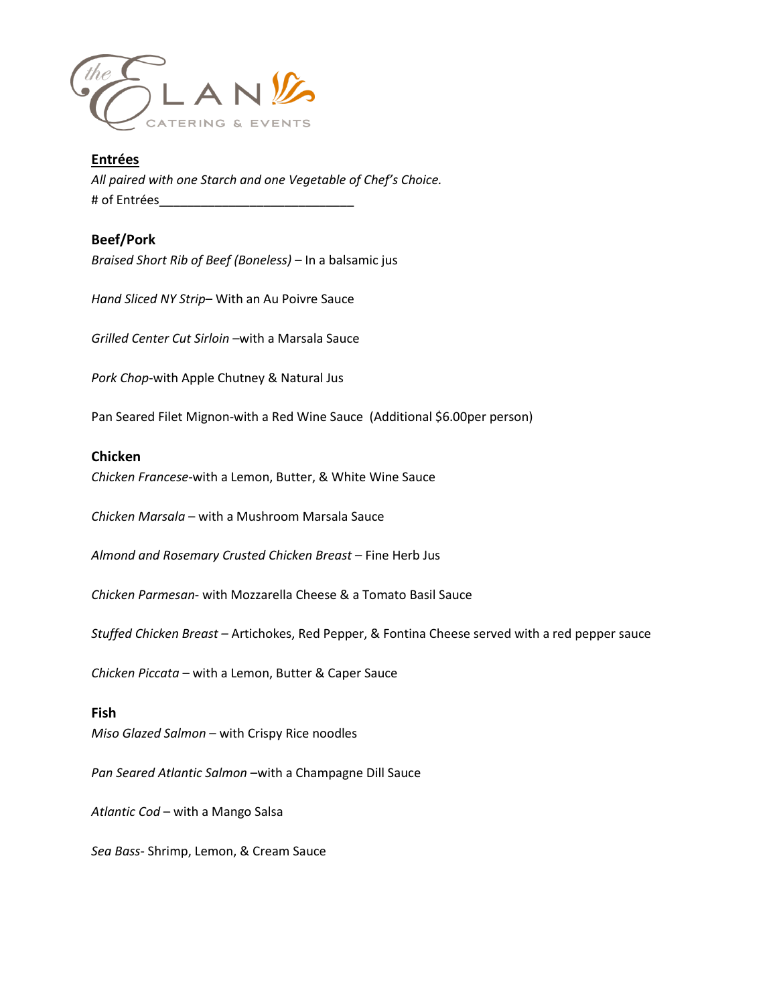

## **Entrées** *All paired with one Starch and one Vegetable of Chef's Choice.* # of Entrées

### **Beef/Pork**

*Braised Short Rib of Beef (Boneless) –* In a balsamic jus

*Hand Sliced NY Strip–* With an Au Poivre Sauce

*Grilled Center Cut Sirloin –*with a Marsala Sauce

*Pork Chop*-with Apple Chutney & Natural Jus

Pan Seared Filet Mignon-with a Red Wine Sauce (Additional \$6.00per person)

#### **Chicken**

*Chicken Francese-*with a Lemon, Butter, & White Wine Sauce

*Chicken Marsala* – with a Mushroom Marsala Sauce

*Almond and Rosemary Crusted Chicken Breast* – Fine Herb Jus

*Chicken Parmesan*- with Mozzarella Cheese & a Tomato Basil Sauce

*Stuffed Chicken Breast –* Artichokes, Red Pepper, & Fontina Cheese served with a red pepper sauce

*Chicken Piccata* – with a Lemon, Butter & Caper Sauce

#### **Fish**

*Miso Glazed Salmon* – with Crispy Rice noodles

*Pan Seared Atlantic Salmon* –with a Champagne Dill Sauce

*Atlantic Cod* – with a Mango Salsa

*Sea Bass*- Shrimp, Lemon, & Cream Sauce